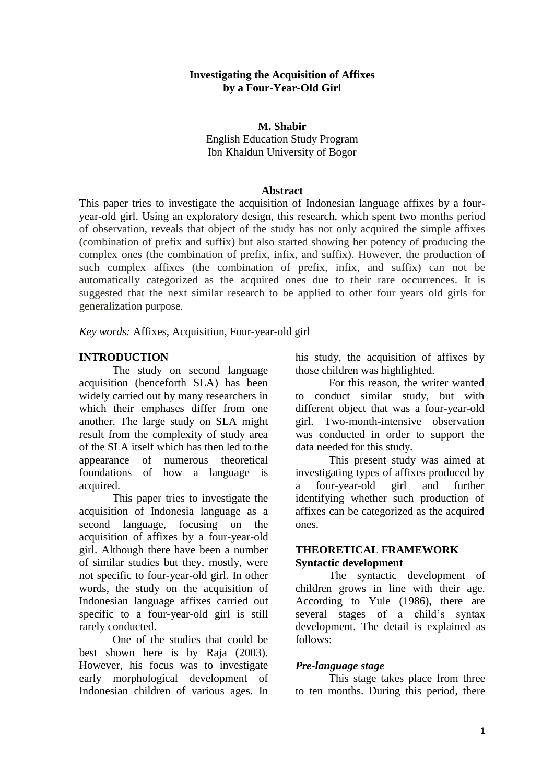#### **Investigating the Acquisition of Affixes by a Four-Year-Old Girl**

### **M. Shabir** English Education Study Program Ibn Khaldun University of Bogor

#### **Abstract**

This paper tries to investigate the acquisition of Indonesian language affixes by a fouryear-old girl. Using an exploratory design, this research, which spent two months period of observation, reveals that object of the study has not only acquired the simple affixes (combination of prefix and suffix) but also started showing her potency of producing the complex ones (the combination of prefix, infix, and suffix). However, the production of such complex affixes (the combination of prefix, infix, and suffix) can not be automatically categorized as the acquired ones due to their rare occurrences. It is suggested that the next similar research to be applied to other four years old girls for generalization purpose.

*Key words:* Affixes, Acquisition, Four-year-old girl

### **INTRODUCTION**

The study on second language acquisition (henceforth SLA) has been widely carried out by many researchers in which their emphases differ from one another. The large study on SLA might result from the complexity of study area of the SLA itself which has then led to the appearance of numerous theoretical foundations of how a language is acquired.

This paper tries to investigate the acquisition of Indonesia language as a second language, focusing on the acquisition of affixes by a four-year-old girl. Although there have been a number of similar studies but they, mostly, were not specific to four-year-old girl. In other words, the study on the acquisition of Indonesian language affixes carried out specific to a four-year-old girl is still rarely conducted.

One of the studies that could be best shown here is by Raja (2003). However, his focus was to investigate early morphological development of Indonesian children of various ages. In his study, the acquisition of affixes by those children was highlighted.

For this reason, the writer wanted to conduct similar study, but with different object that was a four-year-old girl. Two-month-intensive observation was conducted in order to support the data needed for this study.

This present study was aimed at investigating types of affixes produced by a four-year-old girl and further identifying whether such production of affixes can be categorized as the acquired ones.

# **THEORETICAL FRAMEWORK Syntactic development**

The syntactic development of children grows in line with their age. According to Yule (1986), there are several stages of a child's syntax development. The detail is explained as follows:

# *Pre-language stage*

This stage takes place from three to ten months. During this period, there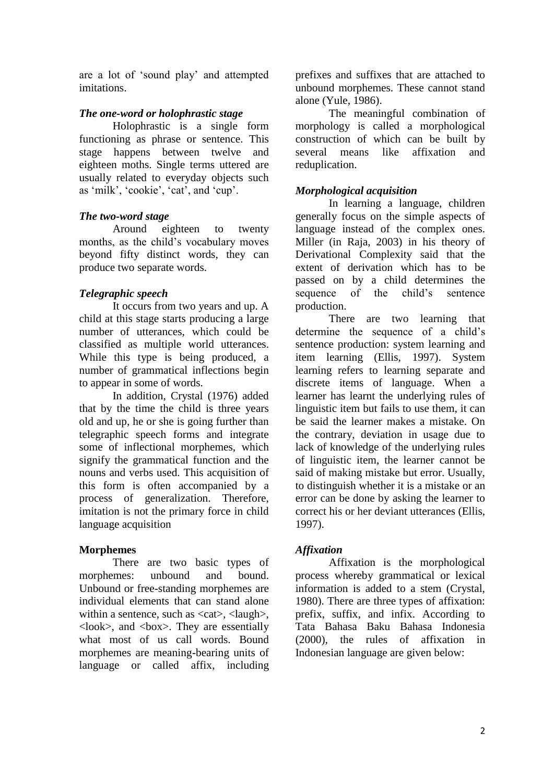are a lot of 'sound play' and attempted imitations.

### *The one-word or holophrastic stage*

Holophrastic is a single form functioning as phrase or sentence. This stage happens between twelve and eighteen moths. Single terms uttered are usually related to everyday objects such as 'milk', 'cookie', 'cat', and 'cup'.

### *The two-word stage*

Around eighteen to twenty months, as the child's vocabulary moves beyond fifty distinct words, they can produce two separate words.

# *Telegraphic speech*

It occurs from two years and up. A child at this stage starts producing a large number of utterances, which could be classified as multiple world utterances. While this type is being produced, a number of grammatical inflections begin to appear in some of words.

In addition, Crystal (1976) added that by the time the child is three years old and up, he or she is going further than telegraphic speech forms and integrate some of inflectional morphemes, which signify the grammatical function and the nouns and verbs used. This acquisition of this form is often accompanied by a process of generalization. Therefore, imitation is not the primary force in child language acquisition

# **Morphemes**

There are two basic types of morphemes: unbound and bound. Unbound or free-standing morphemes are individual elements that can stand alone within a sentence, such as  $\langle \text{cat} \rangle$ ,  $\langle \text{laugh} \rangle$ ,  $\langle \text{look}\rangle$ , and  $\langle \text{box}\rangle$ . They are essentially what most of us call words. Bound morphemes are meaning-bearing units of language or called affix, including

prefixes and suffixes that are attached to unbound morphemes. These cannot stand alone (Yule, 1986).

The meaningful combination of morphology is called a morphological construction of which can be built by several means like affixation and reduplication.

# *Morphological acquisition*

In learning a language, children generally focus on the simple aspects of language instead of the complex ones. Miller (in Raja, 2003) in his theory of Derivational Complexity said that the extent of derivation which has to be passed on by a child determines the sequence of the child's sentence production.

There are two learning that determine the sequence of a child's sentence production: system learning and item learning (Ellis, 1997). System learning refers to learning separate and discrete items of language. When a learner has learnt the underlying rules of linguistic item but fails to use them, it can be said the learner makes a mistake. On the contrary, deviation in usage due to lack of knowledge of the underlying rules of linguistic item, the learner cannot be said of making mistake but error. Usually, to distinguish whether it is a mistake or an error can be done by asking the learner to correct his or her deviant utterances (Ellis, 1997).

# *Affixation*

Affixation is the morphological process whereby grammatical or lexical information is added to a stem (Crystal, 1980). There are three types of affixation: prefix, suffix, and infix. According to Tata Bahasa Baku Bahasa Indonesia (2000), the rules of affixation in Indonesian language are given below: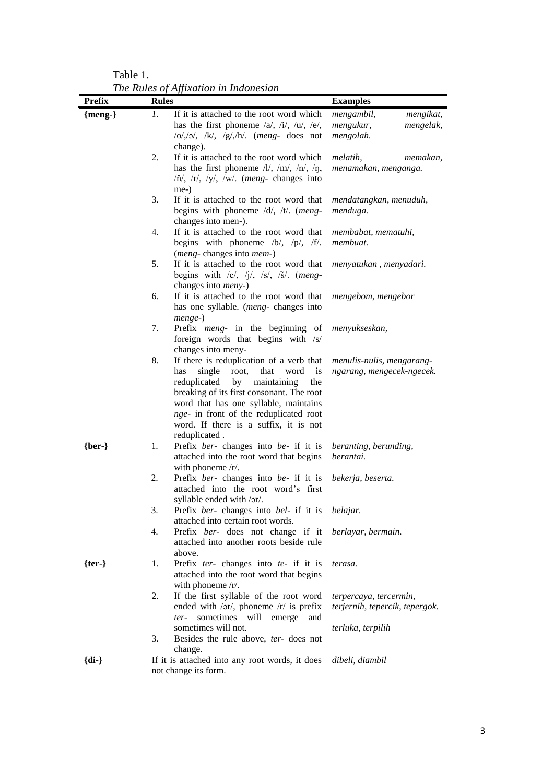Table 1. *The Rules of Affixation in Indonesian*

| <b>Prefix</b>        | <b>Rules</b>                                                      |                                                                                                               | <b>Examples</b>                |  |
|----------------------|-------------------------------------------------------------------|---------------------------------------------------------------------------------------------------------------|--------------------------------|--|
| ${meng-}$            | 1.                                                                | If it is attached to the root word which                                                                      | mengambil,<br>mengikat,        |  |
|                      |                                                                   | has the first phoneme $\langle a \rangle$ , $\langle i \rangle$ , $\langle u \rangle$ , $\langle e \rangle$ , | mengukur,<br>mengelak,         |  |
|                      |                                                                   | $ o / o $ , $ k $ , $ g / h $ . (meng- does not                                                               | mengolah.                      |  |
|                      |                                                                   | change).                                                                                                      |                                |  |
|                      | 2.                                                                | If it is attached to the root word which                                                                      | melatih,<br>memakan,           |  |
|                      |                                                                   | has the first phoneme $/l/$ , $/m/$ , $/n/$ , $/\eta$ ,                                                       | menamakan, menganga.           |  |
|                      |                                                                   | $/\n\check{n}/$ , $/r/$ , $/y/$ , $/w/$ . (meng- changes into                                                 |                                |  |
|                      |                                                                   | me-)                                                                                                          |                                |  |
|                      | 3.                                                                | If it is attached to the root word that                                                                       | mendatangkan, menuduh,         |  |
|                      |                                                                   | begins with phoneme $/d/$ , $/t/$ . (meng-                                                                    | menduga.                       |  |
|                      |                                                                   | changes into men-).                                                                                           |                                |  |
|                      | 4.                                                                | If it is attached to the root word that                                                                       | membabat, mematuhi,            |  |
|                      |                                                                   | begins with phoneme $/b/$ , $/p/$ , $/f/$ .                                                                   | membuat.                       |  |
|                      |                                                                   | (meng-changes into mem-)                                                                                      |                                |  |
|                      | 5.                                                                | If it is attached to the root word that                                                                       | menyatukan, menyadari.         |  |
|                      |                                                                   | begins with $ c $ , $ j $ , $ s $ , $ s $ . (meng-                                                            |                                |  |
|                      |                                                                   | changes into <i>meny</i> -)                                                                                   |                                |  |
|                      | 6.                                                                | If it is attached to the root word that                                                                       | mengebom, mengebor             |  |
|                      |                                                                   | has one syllable. (meng- changes into<br>menge-)                                                              |                                |  |
|                      | 7.                                                                | Prefix <i>meng</i> - in the beginning of                                                                      | menyukseskan,                  |  |
|                      |                                                                   | foreign words that begins with /s/                                                                            |                                |  |
|                      |                                                                   | changes into meny-                                                                                            |                                |  |
|                      | 8.                                                                | If there is reduplication of a verb that                                                                      | menulis-nulis, mengarang-      |  |
|                      |                                                                   | word<br>has<br>single<br>root,<br>that<br>is                                                                  | ngarang, mengecek-ngecek.      |  |
|                      |                                                                   | reduplicated<br>by<br>maintaining<br>the                                                                      |                                |  |
|                      |                                                                   | breaking of its first consonant. The root                                                                     |                                |  |
|                      |                                                                   | word that has one syllable, maintains                                                                         |                                |  |
|                      |                                                                   | nge- in front of the reduplicated root                                                                        |                                |  |
|                      |                                                                   | word. If there is a suffix, it is not                                                                         |                                |  |
|                      |                                                                   | reduplicated.                                                                                                 |                                |  |
| $\{ber-\}$           | 1.                                                                | Prefix ber- changes into be- if it is                                                                         | beranting, berunding,          |  |
|                      |                                                                   | attached into the root word that begins                                                                       | berantai.                      |  |
|                      |                                                                   | with phoneme /r/.                                                                                             |                                |  |
|                      | 2.                                                                | Prefix ber- changes into be- if it is                                                                         | bekerja, beserta.              |  |
|                      |                                                                   | attached into the root word's first                                                                           |                                |  |
|                      |                                                                   | syllable ended with /or/.                                                                                     |                                |  |
|                      | 3.                                                                | Prefix ber- changes into bel- if it is belajar.                                                               |                                |  |
|                      |                                                                   | attached into certain root words.                                                                             |                                |  |
|                      | 4.                                                                | Prefix ber- does not change if it                                                                             | berlayar, bermain.             |  |
|                      |                                                                   | attached into another roots beside rule<br>above.                                                             |                                |  |
| $\{ter\}$            | 1.                                                                | Prefix ter- changes into te- if it is                                                                         | terasa.                        |  |
|                      |                                                                   | attached into the root word that begins                                                                       |                                |  |
|                      |                                                                   | with phoneme /r/.                                                                                             |                                |  |
|                      | 2.                                                                | If the first syllable of the root word                                                                        | terpercaya, tercermin,         |  |
|                      |                                                                   | ended with $/$ ər $/$ , phoneme $/r/$ is prefix                                                               | terjernih, tepercik, tepergok. |  |
|                      |                                                                   | sometimes will emerge<br>ter-<br>and                                                                          |                                |  |
|                      |                                                                   | sometimes will not.                                                                                           | terluka, terpilih              |  |
|                      | 3.                                                                | Besides the rule above, ter- does not                                                                         |                                |  |
|                      |                                                                   | change.                                                                                                       |                                |  |
| ${di-}$              | If it is attached into any root words, it does<br>dibeli, diambil |                                                                                                               |                                |  |
| not change its form. |                                                                   |                                                                                                               |                                |  |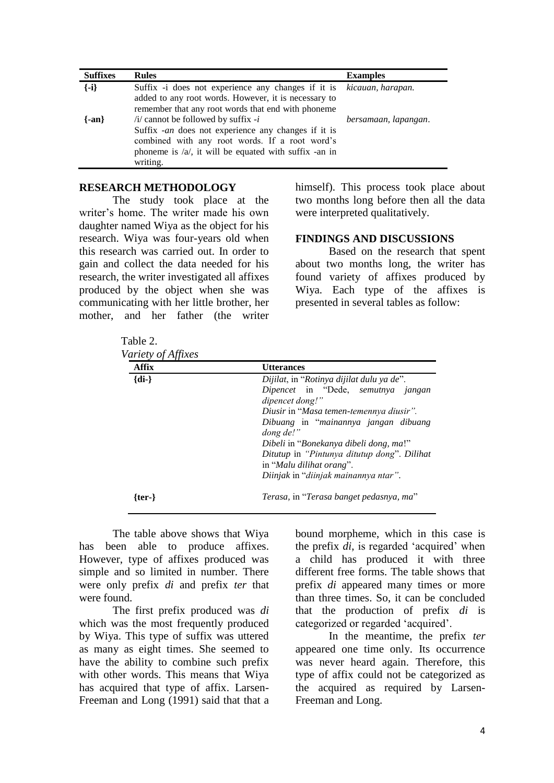| <b>Suffixes</b> | <b>Rules</b>                                                | <b>Examples</b>      |
|-----------------|-------------------------------------------------------------|----------------------|
| $\{-i\}$        | Suffix -i does not experience any changes if it is          | kicauan, harapan.    |
|                 | added to any root words. However, it is necessary to        |                      |
|                 | remember that any root words that end with phoneme          |                      |
| $\{-an\}$       | $\pi$ /i/ cannot be followed by suffix - <i>i</i>           | bersamaan, lapangan. |
|                 | Suffix -an does not experience any changes if it is         |                      |
|                 | combined with any root words. If a root word's              |                      |
|                 | phoneme is $\alpha$ , it will be equated with suffix -an in |                      |
|                 | writing.                                                    |                      |

### **RESEARCH METHODOLOGY**

The study took place at the writer's home. The writer made his own daughter named Wiya as the object for his research. Wiya was four-years old when this research was carried out. In order to gain and collect the data needed for his research, the writer investigated all affixes produced by the object when she was communicating with her little brother, her mother, and her father (the writer himself). This process took place about two months long before then all the data were interpreted qualitatively.

#### **FINDINGS AND DISCUSSIONS**

Based on the research that spent about two months long, the writer has found variety of affixes produced by Wiya. Each type of the affixes is presented in several tables as follow:

Table 2.<br>Vanista of  $\Lambda$ ff: *Variety* 

| <b>Affix</b> | <b>Utterances</b>                                                                                                                                                                                                                                                                                                                                               |
|--------------|-----------------------------------------------------------------------------------------------------------------------------------------------------------------------------------------------------------------------------------------------------------------------------------------------------------------------------------------------------------------|
| $\{di -\}$   | Dijilat, in "Rotinya dijilat dulu ya de".<br>Dipencet in "Dede, semutnya jangan<br>dipencet dong!"<br>Diusir in "Masa temen-temennya diusir".<br>Dibuang in "mainannya jangan dibuang<br>dong de!"<br>Dibeli in "Bonekanya dibeli dong, ma!"<br>Ditutup in "Pintunya ditutup dong". Dilihat<br>in "Malu dilihat orang".<br>Diinjak in "diinjak mainannya ntar". |
| {ter-}       | Terasa, in "Terasa banget pedasnya, ma"                                                                                                                                                                                                                                                                                                                         |

The table above shows that Wiya has been able to produce affixes. However, type of affixes produced was simple and so limited in number. There were only prefix *di* and prefix *ter* that were found.

The first prefix produced was *di* which was the most frequently produced by Wiya. This type of suffix was uttered as many as eight times. She seemed to have the ability to combine such prefix with other words. This means that Wiya has acquired that type of affix. Larsen-Freeman and Long (1991) said that that a bound morpheme, which in this case is the prefix *di*, is regarded 'acquired' when a child has produced it with three different free forms. The table shows that prefix *di* appeared many times or more than three times. So, it can be concluded that the production of prefix *di* is categorized or regarded 'acquired'.

In the meantime, the prefix *ter* appeared one time only. Its occurrence was never heard again. Therefore, this type of affix could not be categorized as the acquired as required by Larsen-Freeman and Long.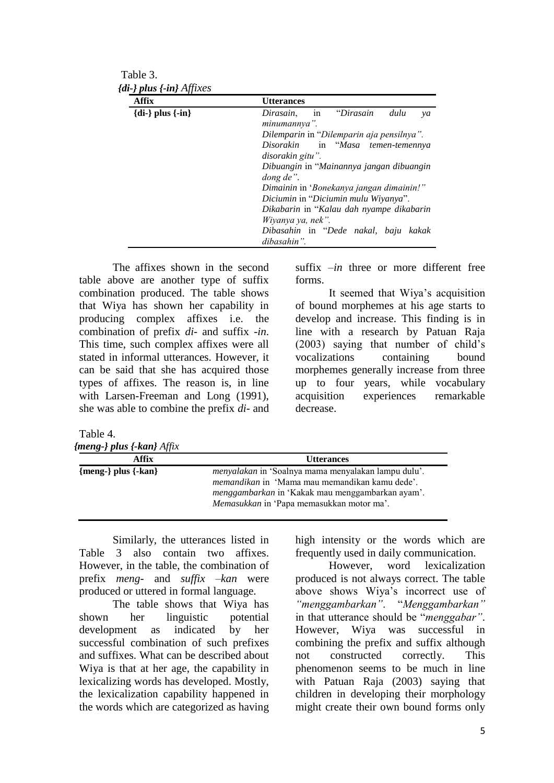Table 3.  *{di-} plus {-in} Affixes*

| Affix                | <b>Utterances</b>                                          |
|----------------------|------------------------------------------------------------|
| ${di-}$ plus ${-in}$ | "Dirasain<br>dulu<br>Dirasain,<br>in<br>ya<br>minumannya". |
|                      | Dilemparin in "Dilemparin aja pensilnya".                  |
|                      | Disorakin in "Masa temen-temennya                          |
|                      | disorakin gitu".                                           |
|                      | Dibuangin in "Mainannya jangan dibuangin<br>dong de".      |
|                      | Dimainin in 'Bonekanya jangan dimainin!"                   |
|                      | Diciumin in "Diciumin mulu Wiyanya".                       |
|                      | Dikabarin in "Kalau dah nyampe dikabarin                   |
|                      | Wiyanya ya, nek".                                          |
|                      | Dibasahin in "Dede nakal, baju<br>kakak                    |
|                      | dibasahin".                                                |

The affixes shown in the second table above are another type of suffix combination produced. The table shows that Wiya has shown her capability in producing complex affixes i.e. the combination of prefix *di-* and suffix *-in*. This time, such complex affixes were all stated in informal utterances. However, it can be said that she has acquired those types of affixes. The reason is, in line with Larsen-Freeman and Long (1991), she was able to combine the prefix *di-* and suffix *–in* three or more different free forms.

It seemed that Wiya's acquisition of bound morphemes at his age starts to develop and increase. This finding is in line with a research by Patuan Raja (2003) saying that number of child's vocalizations containing bound morphemes generally increase from three up to four years, while vocabulary acquisition experiences remarkable decrease.

Table 4. *{meng-} plus {-kan} Affix*

| Affix                 | <b>Utterances</b>                                                                                                   |
|-----------------------|---------------------------------------------------------------------------------------------------------------------|
| ${meng-} plus {-kan}$ | <i>menyalakan</i> in 'Soalnya mama menyalakan lampu dulu'.<br><i>memandikan</i> in 'Mama mau memandikan kamu dede'. |
|                       | menggambarkan in 'Kakak mau menggambarkan ayam'.<br><i>Memasukkan</i> in 'Papa memasukkan motor ma'.                |

Similarly, the utterances listed in Table 3 also contain two affixes. However, in the table, the combination of prefix *meng-* and *suffix –kan* were produced or uttered in formal language.

The table shows that Wiya has shown her linguistic potential development as indicated by her successful combination of such prefixes and suffixes. What can be described about Wiya is that at her age, the capability in lexicalizing words has developed. Mostly, the lexicalization capability happened in the words which are categorized as having high intensity or the words which are frequently used in daily communication.

However, word lexicalization produced is not always correct. The table above shows Wiya's incorrect use of *"menggambarkan"*. "*Menggambarkan"* in that utterance should be "*menggabar"*. However, Wiya was successful in combining the prefix and suffix although not constructed correctly. This phenomenon seems to be much in line with Patuan Raja (2003) saying that children in developing their morphology might create their own bound forms only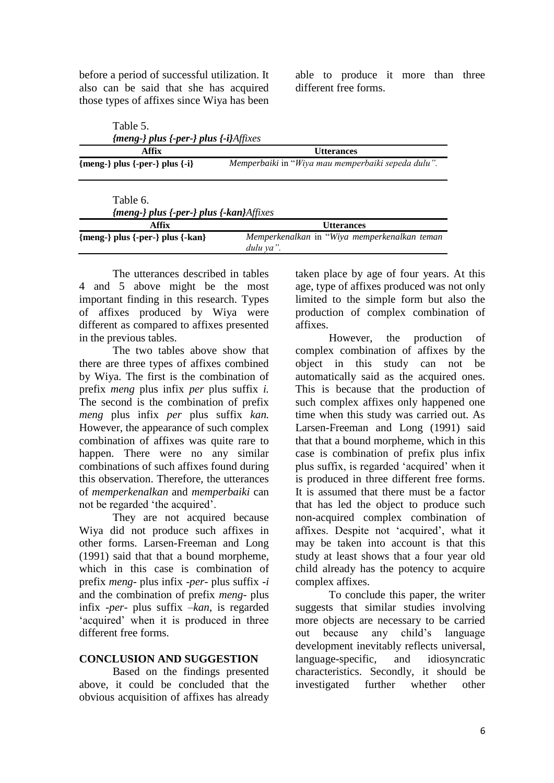before a period of successful utilization. It also can be said that she has acquired those types of affixes since Wiya has been able to produce it more than three different free forms.

| Table 5.<br>${meng}$ plus ${-per}$ plus ${-i}$ Affixes |                                                    |
|--------------------------------------------------------|----------------------------------------------------|
| Affix                                                  | <b>Utterances</b>                                  |
| ${meng-} plus {-per-} plus {-i}$                       | Memperbaiki in "Wiya mau memperbaiki sepeda dulu". |
| Table 6.                                               |                                                    |
| {meng-} plus {-per-} plus {-kan}Affixes                |                                                    |
| $\triangle$ $\mathbf{e}\mathbf{e}$                     | <b>TT44</b> $       -$                             |

| Affix                              | <b>Utterances</b>                                         |
|------------------------------------|-----------------------------------------------------------|
| ${meng-} plus {-per-} plus {-kan}$ | Memperkenalkan in "Wiya memperkenalkan teman<br>dulu va". |
|                                    |                                                           |

The utterances described in tables 4 and 5 above might be the most important finding in this research. Types of affixes produced by Wiya were different as compared to affixes presented in the previous tables.

The two tables above show that there are three types of affixes combined by Wiya. The first is the combination of prefix *meng* plus infix *per* plus suffix *i.* The second is the combination of prefix *meng* plus infix *per* plus suffix *kan.* However, the appearance of such complex combination of affixes was quite rare to happen. There were no any similar combinations of such affixes found during this observation. Therefore, the utterances of *memperkenalkan* and *memperbaiki* can not be regarded 'the acquired'.

They are not acquired because Wiya did not produce such affixes in other forms. Larsen-Freeman and Long (1991) said that that a bound morpheme, which in this case is combination of prefix *meng*- plus infix -*per-* plus suffix *-i* and the combination of prefix *meng*- plus infix -*per-* plus suffix *–kan*, is regarded 'acquired' when it is produced in three different free forms.

### **CONCLUSION AND SUGGESTION**

Based on the findings presented above, it could be concluded that the obvious acquisition of affixes has already taken place by age of four years. At this age, type of affixes produced was not only limited to the simple form but also the production of complex combination of affixes.

However, the production of complex combination of affixes by the object in this study can not be automatically said as the acquired ones. This is because that the production of such complex affixes only happened one time when this study was carried out. As Larsen-Freeman and Long (1991) said that that a bound morpheme, which in this case is combination of prefix plus infix plus suffix, is regarded 'acquired' when it is produced in three different free forms. It is assumed that there must be a factor that has led the object to produce such non-acquired complex combination of affixes. Despite not 'acquired', what it may be taken into account is that this study at least shows that a four year old child already has the potency to acquire complex affixes.

To conclude this paper, the writer suggests that similar studies involving more objects are necessary to be carried out because any child's language development inevitably reflects universal, language-specific, and idiosyncratic characteristics. Secondly, it should be investigated further whether other